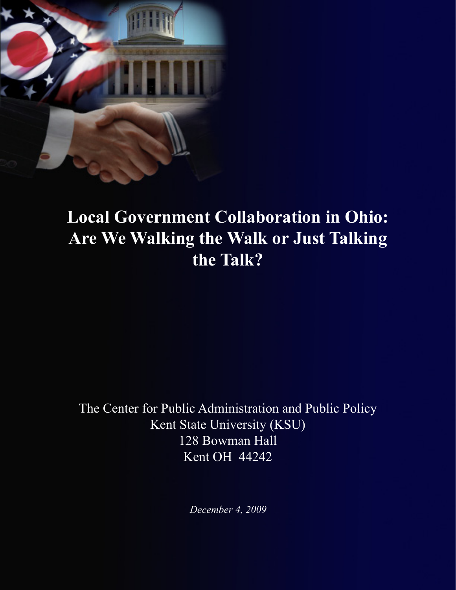

# **Local Government Collaboration in Ohio: Are We Walking the Walk or Just Talking the Talk?**

The Center for Public Administration and Public Policy Kent State University (KSU) 128 Bowman Hall Kent OH 44242

*December 4, 2009*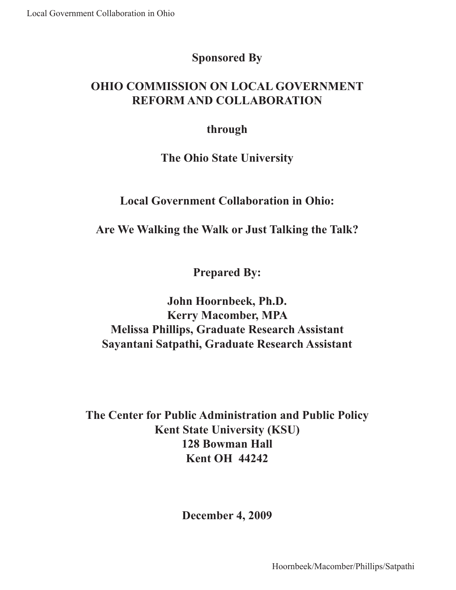## **Sponsored By**

# **OHIO COMMISSION ON LOCAL GOVERNMENT REFORM AND COLLABORATION**

### **through**

### **The Ohio State University**

### **Local Government Collaboration in Ohio:**

**Are We Walking the Walk or Just Talking the Talk?**

**Prepared By:**

**John Hoornbeek, Ph.D. Kerry Macomber, MPA Melissa Phillips, Graduate Research Assistant Sayantani Satpathi, Graduate Research Assistant**

**The Center for Public Administration and Public Policy Kent State University (KSU) 128 Bowman Hall Kent OH 44242**

**December 4, 2009**

Hoornbeek/Macomber/Phillips/Satpathi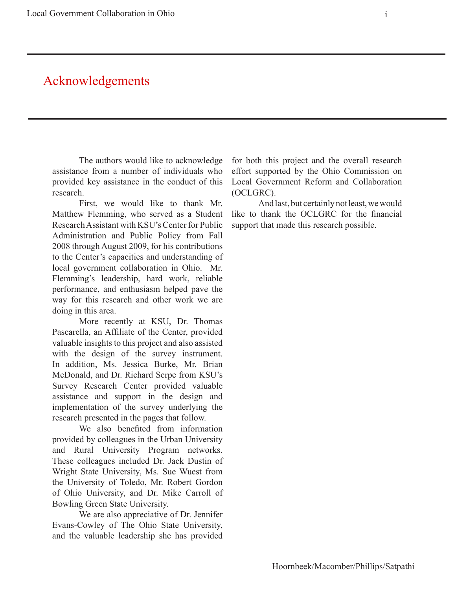# Acknowledgements

The authors would like to acknowledge assistance from a number of individuals who provided key assistance in the conduct of this research.

First, we would like to thank Mr. Matthew Flemming, who served as a Student Research Assistant with KSU's Center for Public Administration and Public Policy from Fall 2008 through August 2009, for his contributions to the Center's capacities and understanding of local government collaboration in Ohio. Mr. Flemming's leadership, hard work, reliable performance, and enthusiasm helped pave the way for this research and other work we are doing in this area.

More recently at KSU, Dr. Thomas Pascarella, an Affiliate of the Center, provided valuable insights to this project and also assisted with the design of the survey instrument. In addition, Ms. Jessica Burke, Mr. Brian McDonald, and Dr. Richard Serpe from KSU's Survey Research Center provided valuable assistance and support in the design and implementation of the survey underlying the research presented in the pages that follow.

We also benefited from information provided by colleagues in the Urban University and Rural University Program networks. These colleagues included Dr. Jack Dustin of Wright State University, Ms. Sue Wuest from the University of Toledo, Mr. Robert Gordon of Ohio University, and Dr. Mike Carroll of Bowling Green State University.

We are also appreciative of Dr. Jennifer Evans-Cowley of The Ohio State University, and the valuable leadership she has provided

for both this project and the overall research effort supported by the Ohio Commission on Local Government Reform and Collaboration (OCLGRC).

And last, but certainly not least, we would like to thank the OCLGRC for the financial support that made this research possible.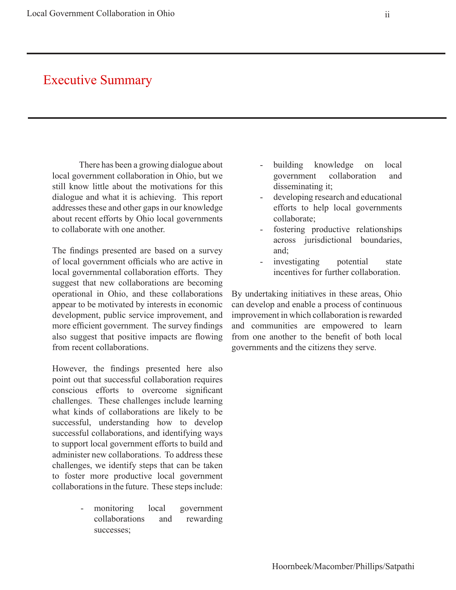# Executive Summary

There has been a growing dialogue about local government collaboration in Ohio, but we still know little about the motivations for this dialogue and what it is achieving. This report addresses these and other gaps in our knowledge about recent efforts by Ohio local governments to collaborate with one another.

The findings presented are based on a survey of local government officials who are active in local governmental collaboration efforts. They suggest that new collaborations are becoming operational in Ohio, and these collaborations appear to be motivated by interests in economic development, public service improvement, and more efficient government. The survey findings also suggest that positive impacts are flowing from recent collaborations.

However, the findings presented here also point out that successful collaboration requires conscious efforts to overcome significant challenges. These challenges include learning what kinds of collaborations are likely to be successful, understanding how to develop successful collaborations, and identifying ways to support local government efforts to build and administer new collaborations. To address these challenges, we identify steps that can be taken to foster more productive local government collaborations in the future. These steps include:

> - monitoring local government collaborations and rewarding successes;

- building knowledge on local government collaboration and disseminating it;
- developing research and educational efforts to help local governments collaborate;
- fostering productive relationships across jurisdictional boundaries, and;
- investigating potential state incentives for further collaboration.

By undertaking initiatives in these areas, Ohio can develop and enable a process of continuous improvement in which collaboration is rewarded and communities are empowered to learn from one another to the benefit of both local governments and the citizens they serve.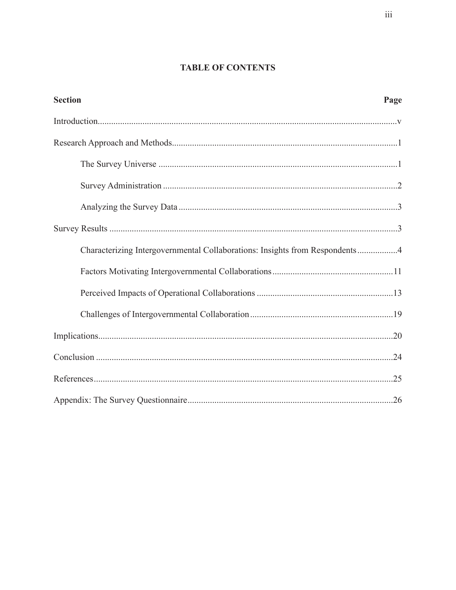### **TABLE OF CONTENTS**

| <b>Section</b>                                                              | Page |
|-----------------------------------------------------------------------------|------|
|                                                                             |      |
|                                                                             |      |
|                                                                             |      |
|                                                                             |      |
|                                                                             |      |
|                                                                             |      |
| Characterizing Intergovernmental Collaborations: Insights from Respondents4 |      |
|                                                                             |      |
|                                                                             |      |
|                                                                             |      |
|                                                                             |      |
|                                                                             |      |
|                                                                             |      |
|                                                                             |      |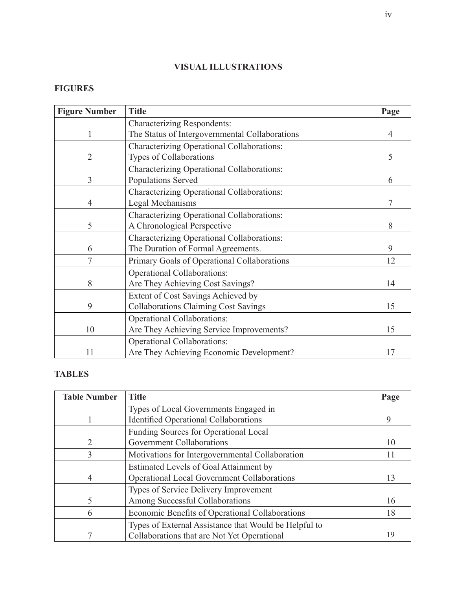### **VISUAL ILLUSTRATIONS**

### **FIGURES**

| <b>Figure Number</b> | <b>Title</b>                                   | Page |
|----------------------|------------------------------------------------|------|
|                      | <b>Characterizing Respondents:</b>             |      |
|                      | The Status of Intergovernmental Collaborations | 4    |
|                      | Characterizing Operational Collaborations:     |      |
| 2                    | Types of Collaborations                        | 5    |
|                      | Characterizing Operational Collaborations:     |      |
| 3                    | Populations Served                             | 6    |
|                      | Characterizing Operational Collaborations:     |      |
| 4                    | Legal Mechanisms                               | 7    |
|                      | Characterizing Operational Collaborations:     |      |
| 5                    | A Chronological Perspective                    | 8    |
|                      | Characterizing Operational Collaborations:     |      |
| 6                    | The Duration of Formal Agreements.             | 9    |
| 7                    | Primary Goals of Operational Collaborations    | 12   |
|                      | <b>Operational Collaborations:</b>             |      |
| 8                    | Are They Achieving Cost Savings?               | 14   |
|                      | Extent of Cost Savings Achieved by             |      |
| 9                    | <b>Collaborations Claiming Cost Savings</b>    | 15   |
|                      | <b>Operational Collaborations:</b>             |      |
| 10                   | Are They Achieving Service Improvements?       | 15   |
|                      | <b>Operational Collaborations:</b>             |      |
| 11                   | Are They Achieving Economic Development?       | 17   |

### **TABLES**

| <b>Table Number</b> | <b>Title</b>                                          | Page |
|---------------------|-------------------------------------------------------|------|
|                     | Types of Local Governments Engaged in                 |      |
|                     | <b>Identified Operational Collaborations</b>          | 9    |
|                     | Funding Sources for Operational Local                 |      |
| 2                   | <b>Government Collaborations</b>                      | 10   |
| 3                   | Motivations for Intergovernmental Collaboration       | 11   |
|                     | Estimated Levels of Goal Attainment by                |      |
|                     | <b>Operational Local Government Collaborations</b>    | 13   |
|                     | Types of Service Delivery Improvement                 |      |
|                     | Among Successful Collaborations                       | 16   |
| 6                   | Economic Benefits of Operational Collaborations       | 18   |
|                     | Types of External Assistance that Would be Helpful to |      |
|                     | Collaborations that are Not Yet Operational           | 19   |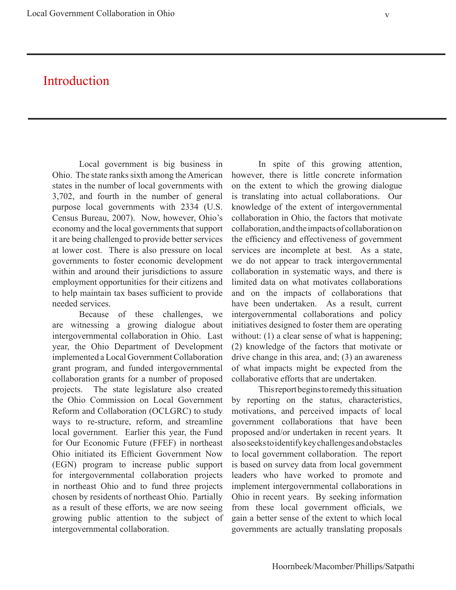# Introduction

Local government is big business in Ohio. The state ranks sixth among the American states in the number of local governments with 3,702, and fourth in the number of general purpose local governments with 2334 (U.S. Census Bureau, 2007). Now, however, Ohio's economy and the local governments that support it are being challenged to provide better services at lower cost. There is also pressure on local governments to foster economic development within and around their jurisdictions to assure employment opportunities for their citizens and to help maintain tax bases sufficient to provide needed services.

Because of these challenges, we are witnessing a growing dialogue about intergovernmental collaboration in Ohio. Last year, the Ohio Department of Development implemented a Local Government Collaboration grant program, and funded intergovernmental collaboration grants for a number of proposed projects. The state legislature also created the Ohio Commission on Local Government Reform and Collaboration (OCLGRC) to study ways to re-structure, reform, and streamline local government. Earlier this year, the Fund for Our Economic Future (FFEF) in northeast Ohio initiated its Efficient Government Now (EGN) program to increase public support for intergovernmental collaboration projects in northeast Ohio and to fund three projects chosen by residents of northeast Ohio. Partially as a result of these efforts, we are now seeing growing public attention to the subject of intergovernmental collaboration.

In spite of this growing attention, however, there is little concrete information on the extent to which the growing dialogue is translating into actual collaborations. Our knowledge of the extent of intergovernmental collaboration in Ohio, the factors that motivate collaboration, and the impacts of collaboration on the efficiency and effectiveness of government services are incomplete at best. As a state, we do not appear to track intergovernmental collaboration in systematic ways, and there is limited data on what motivates collaborations and on the impacts of collaborations that have been undertaken. As a result, current intergovernmental collaborations and policy initiatives designed to foster them are operating without: (1) a clear sense of what is happening; (2) knowledge of the factors that motivate or drive change in this area, and; (3) an awareness of what impacts might be expected from the collaborative efforts that are undertaken.

This report begins to remedy this situation by reporting on the status, characteristics, motivations, and perceived impacts of local government collaborations that have been proposed and/or undertaken in recent years. It also seeks to identify key challenges and obstacles to local government collaboration. The report is based on survey data from local government leaders who have worked to promote and implement intergovernmental collaborations in Ohio in recent years. By seeking information from these local government officials, we gain a better sense of the extent to which local governments are actually translating proposals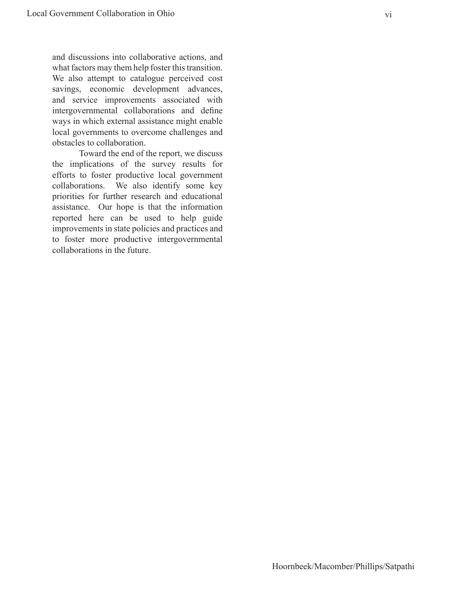and discussions into collaborative actions, and what factors may them help foster this transition. We also attempt to catalogue perceived cost savings, economic development advances, and service improvements associated with intergovernmental collaborations and define ways in which external assistance might enable local governments to overcome challenges and obstacles to collaboration.

Toward the end of the report, we discuss the implications of the survey results for efforts to foster productive local government collaborations. We also identify some key priorities for further research and educational assistance. Our hope is that the information reported here can be used to help guide improvements in state policies and practices and to foster more productive intergovernmental collaborations in the future.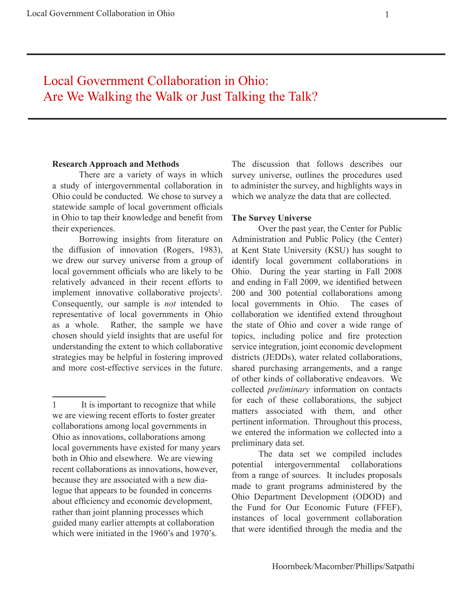# Local Government Collaboration in Ohio: Are We Walking the Walk or Just Talking the Talk?

#### **Research Approach and Methods**

There are a variety of ways in which a study of intergovernmental collaboration in Ohio could be conducted. We chose to survey a statewide sample of local government officials in Ohio to tap their knowledge and benefit from their experiences.

Borrowing insights from literature on the diffusion of innovation (Rogers, 1983), we drew our survey universe from a group of local government officials who are likely to be relatively advanced in their recent efforts to implement innovative collaborative projects<sup>1</sup>. Consequently, our sample is *not* intended to representative of local governments in Ohio as a whole. Rather, the sample we have chosen should yield insights that are useful for understanding the extent to which collaborative strategies may be helpful in fostering improved and more cost-effective services in the future.

The discussion that follows describes our survey universe, outlines the procedures used to administer the survey, and highlights ways in which we analyze the data that are collected.

#### **The Survey Universe**

Over the past year, the Center for Public Administration and Public Policy (the Center) at Kent State University (KSU) has sought to identify local government collaborations in Ohio. During the year starting in Fall 2008 and ending in Fall 2009, we identified between 200 and 300 potential collaborations among local governments in Ohio. The cases of collaboration we identified extend throughout the state of Ohio and cover a wide range of topics, including police and fire protection service integration, joint economic development districts (JEDDs), water related collaborations, shared purchasing arrangements, and a range of other kinds of collaborative endeavors. We collected *preliminary* information on contacts for each of these collaborations, the subject matters associated with them, and other pertinent information. Throughout this process, we entered the information we collected into a preliminary data set.

The data set we compiled includes potential intergovernmental collaborations from a range of sources. It includes proposals made to grant programs administered by the Ohio Department Development (ODOD) and the Fund for Our Economic Future (FFEF), instances of local government collaboration that were identified through the media and the

<sup>1</sup> It is important to recognize that while we are viewing recent efforts to foster greater collaborations among local governments in Ohio as innovations, collaborations among local governments have existed for many years both in Ohio and elsewhere. We are viewing recent collaborations as innovations, however, because they are associated with a new dialogue that appears to be founded in concerns about efficiency and economic development, rather than joint planning processes which guided many earlier attempts at collaboration which were initiated in the 1960's and 1970's.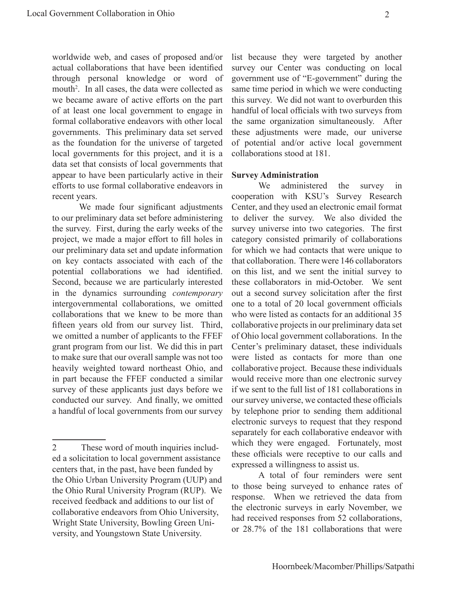worldwide web, and cases of proposed and/or actual collaborations that have been identified through personal knowledge or word of mouth<sup>2</sup>. In all cases, the data were collected as we became aware of active efforts on the part of at least one local government to engage in formal collaborative endeavors with other local governments. This preliminary data set served as the foundation for the universe of targeted local governments for this project, and it is a data set that consists of local governments that appear to have been particularly active in their efforts to use formal collaborative endeavors in recent years.

We made four significant adjustments to our preliminary data set before administering the survey. First, during the early weeks of the project, we made a major effort to fill holes in our preliminary data set and update information on key contacts associated with each of the potential collaborations we had identified. Second, because we are particularly interested in the dynamics surrounding *contemporary* intergovernmental collaborations, we omitted collaborations that we knew to be more than fifteen years old from our survey list. Third, we omitted a number of applicants to the FFEF grant program from our list. We did this in part to make sure that our overall sample was not too heavily weighted toward northeast Ohio, and in part because the FFEF conducted a similar survey of these applicants just days before we conducted our survey. And finally, we omitted a handful of local governments from our survey list because they were targeted by another survey our Center was conducting on local government use of "E-government" during the same time period in which we were conducting this survey. We did not want to overburden this handful of local officials with two surveys from the same organization simultaneously. After these adjustments were made, our universe of potential and/or active local government collaborations stood at 181.

#### **Survey Administration**

We administered the survey in cooperation with KSU's Survey Research Center, and they used an electronic email format to deliver the survey. We also divided the survey universe into two categories. The first category consisted primarily of collaborations for which we had contacts that were unique to that collaboration. There were 146 collaborators on this list, and we sent the initial survey to these collaborators in mid-October. We sent out a second survey solicitation after the first one to a total of 20 local government officials who were listed as contacts for an additional 35 collaborative projects in our preliminary data set of Ohio local government collaborations. In the Center's preliminary dataset, these individuals were listed as contacts for more than one collaborative project. Because these individuals would receive more than one electronic survey if we sent to the full list of 181 collaborations in our survey universe, we contacted these officials by telephone prior to sending them additional electronic surveys to request that they respond separately for each collaborative endeavor with which they were engaged. Fortunately, most these officials were receptive to our calls and expressed a willingness to assist us.

A total of four reminders were sent to those being surveyed to enhance rates of response. When we retrieved the data from the electronic surveys in early November, we had received responses from 52 collaborations, or 28.7% of the 181 collaborations that were

<sup>2</sup> These word of mouth inquiries included a solicitation to local government assistance centers that, in the past, have been funded by the Ohio Urban University Program (UUP) and the Ohio Rural University Program (RUP). We received feedback and additions to our list of collaborative endeavors from Ohio University, Wright State University, Bowling Green University, and Youngstown State University.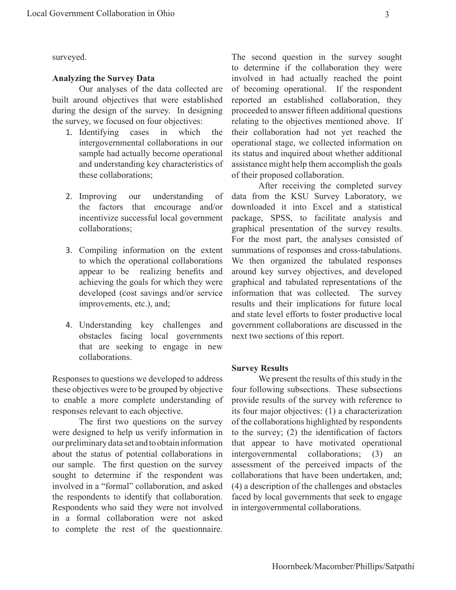surveyed.

#### **Analyzing the Survey Data**

Our analyses of the data collected are built around objectives that were established during the design of the survey. In designing the survey, we focused on four objectives:

- 1. Identifying cases in which the intergovernmental collaborations in our sample had actually become operational and understanding key characteristics of these collaborations;
- 2. Improving our understanding of the factors that encourage and/or incentivize successful local government collaborations;
- 3. Compiling information on the extent to which the operational collaborations appear to be realizing benefits and achieving the goals for which they were developed (cost savings and/or service improvements, etc.), and;
- 4. Understanding key challenges and obstacles facing local governments that are seeking to engage in new collaborations.

Responses to questions we developed to address these objectives were to be grouped by objective to enable a more complete understanding of responses relevant to each objective.

The first two questions on the survey were designed to help us verify information in our preliminary data set and to obtain information about the status of potential collaborations in our sample. The first question on the survey sought to determine if the respondent was involved in a "formal" collaboration, and asked the respondents to identify that collaboration. Respondents who said they were not involved in a formal collaboration were not asked to complete the rest of the questionnaire.

The second question in the survey sought to determine if the collaboration they were involved in had actually reached the point of becoming operational. If the respondent reported an established collaboration, they proceeded to answer fifteen additional questions relating to the objectives mentioned above. If their collaboration had not yet reached the operational stage, we collected information on its status and inquired about whether additional assistance might help them accomplish the goals of their proposed collaboration.

After receiving the completed survey data from the KSU Survey Laboratory, we downloaded it into Excel and a statistical package, SPSS, to facilitate analysis and graphical presentation of the survey results. For the most part, the analyses consisted of summations of responses and cross-tabulations. We then organized the tabulated responses around key survey objectives, and developed graphical and tabulated representations of the information that was collected. The survey results and their implications for future local and state level efforts to foster productive local government collaborations are discussed in the next two sections of this report.

#### **Survey Results**

We present the results of this study in the four following subsections. These subsections provide results of the survey with reference to its four major objectives: (1) a characterization of the collaborations highlighted by respondents to the survey; (2) the identification of factors that appear to have motivated operational intergovernmental collaborations; (3) an assessment of the perceived impacts of the collaborations that have been undertaken, and; (4) a description of the challenges and obstacles faced by local governments that seek to engage in intergovernmental collaborations.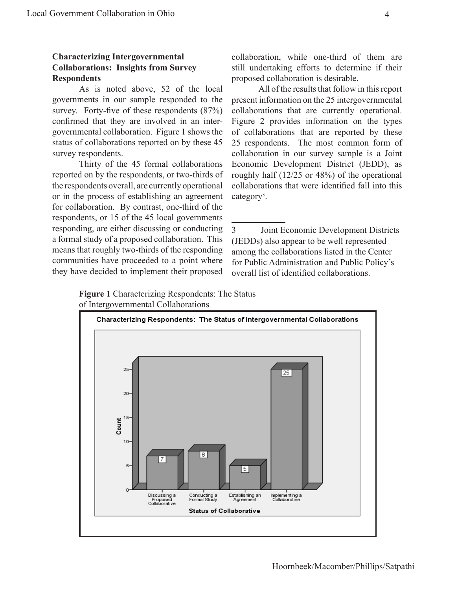#### **Characterizing Intergovernmental Collaborations: Insights from Survey Respondents**

As is noted above, 52 of the local governments in our sample responded to the survey. Forty-five of these respondents (87%) confirmed that they are involved in an intergovernmental collaboration. Figure 1 shows the status of collaborations reported on by these 45 survey respondents.

Thirty of the 45 formal collaborations reported on by the respondents, or two-thirds of the respondents overall, are currently operational or in the process of establishing an agreement for collaboration. By contrast, one-third of the respondents, or 15 of the 45 local governments responding, are either discussing or conducting a formal study of a proposed collaboration. This means that roughly two-thirds of the responding communities have proceeded to a point where they have decided to implement their proposed

collaboration, while one-third of them are still undertaking efforts to determine if their proposed collaboration is desirable.

All of the results that follow in this report present information on the 25 intergovernmental collaborations that are currently operational. Figure 2 provides information on the types of collaborations that are reported by these 25 respondents. The most common form of collaboration in our survey sample is a Joint Economic Development District (JEDD), as roughly half (12/25 or 48%) of the operational collaborations that were identified fall into this category<sup>3</sup>.

3 Joint Economic Development Districts (JEDDs) also appear to be well represented among the collaborations listed in the Center for Public Administration and Public Policy's overall list of identified collaborations.

**Figure 1** Characterizing Respondents: The Status of Intergovernmental Collaborations

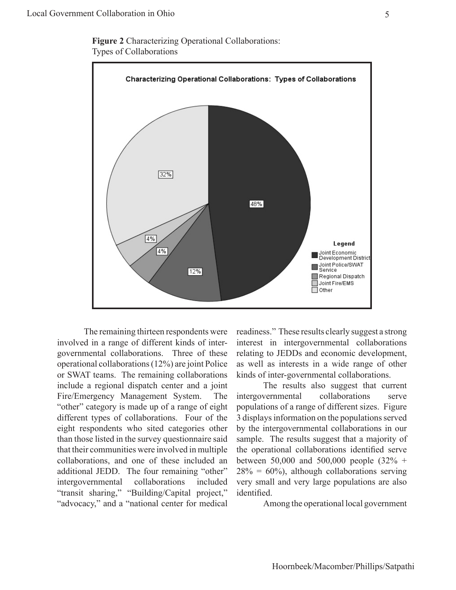**Figure 2** Characterizing Operational Collaborations: Types of Collaborations



The remaining thirteen respondents were involved in a range of different kinds of intergovernmental collaborations. Three of these operational collaborations (12%) are joint Police or SWAT teams. The remaining collaborations include a regional dispatch center and a joint Fire/Emergency Management System. The "other" category is made up of a range of eight different types of collaborations. Four of the eight respondents who sited categories other than those listed in the survey questionnaire said that their communities were involved in multiple collaborations, and one of these included an additional JEDD. The four remaining "other" intergovernmental collaborations included "transit sharing," "Building/Capital project," "advocacy," and a "national center for medical readiness." These results clearly suggest a strong interest in intergovernmental collaborations relating to JEDDs and economic development, as well as interests in a wide range of other kinds of inter-governmental collaborations.

The results also suggest that current intergovernmental collaborations serve populations of a range of different sizes. Figure 3 displays information on the populations served by the intergovernmental collaborations in our sample. The results suggest that a majority of the operational collaborations identified serve between 50,000 and 500,000 people (32% +  $28\% = 60\%$ , although collaborations serving very small and very large populations are also identified.

Among the operational local government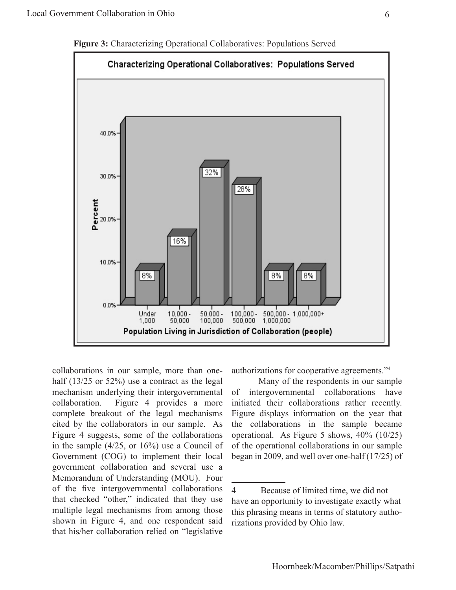

**Figure 3:** Characterizing Operational Collaboratives: Populations Served

collaborations in our sample, more than onehalf (13/25 or 52%) use a contract as the legal mechanism underlying their intergovernmental collaboration. Figure 4 provides a more complete breakout of the legal mechanisms cited by the collaborators in our sample. As Figure 4 suggests, some of the collaborations in the sample (4/25, or 16%) use a Council of Government (COG) to implement their local government collaboration and several use a Memorandum of Understanding (MOU). Four of the five intergovernmental collaborations that checked "other," indicated that they use multiple legal mechanisms from among those shown in Figure 4, and one respondent said that his/her collaboration relied on "legislative

authorizations for cooperative agreements."4

Many of the respondents in our sample of intergovernmental collaborations have initiated their collaborations rather recently. Figure displays information on the year that the collaborations in the sample became operational. As Figure 5 shows, 40% (10/25) of the operational collaborations in our sample began in 2009, and well over one-half (17/25) of

<sup>4</sup> Because of limited time, we did not have an opportunity to investigate exactly what this phrasing means in terms of statutory authorizations provided by Ohio law.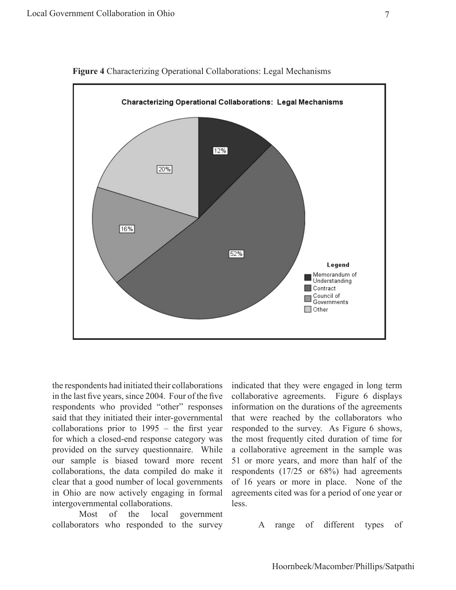

**Figure 4** Characterizing Operational Collaborations: Legal Mechanisms

the respondents had initiated their collaborations in the last five years, since 2004. Four of the five respondents who provided "other" responses said that they initiated their inter-governmental collaborations prior to 1995 – the first year for which a closed-end response category was provided on the survey questionnaire. While our sample is biased toward more recent collaborations, the data compiled do make it clear that a good number of local governments in Ohio are now actively engaging in formal intergovernmental collaborations.

Most of the local government collaborators who responded to the survey indicated that they were engaged in long term collaborative agreements. Figure 6 displays information on the durations of the agreements that were reached by the collaborators who responded to the survey. As Figure 6 shows, the most frequently cited duration of time for a collaborative agreement in the sample was 51 or more years, and more than half of the respondents (17/25 or 68%) had agreements of 16 years or more in place. None of the agreements cited was for a period of one year or less.

A range of different types of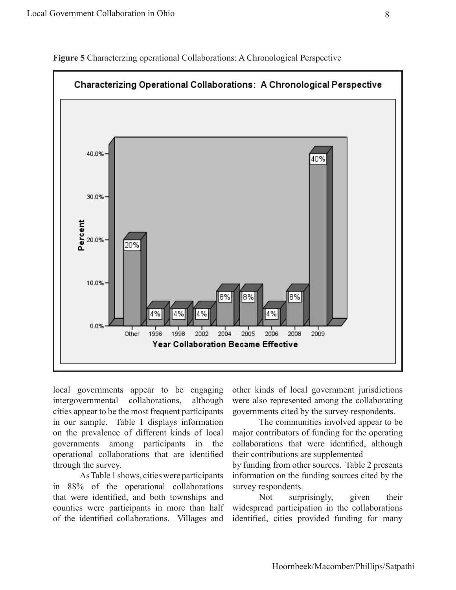

**Figure 5** Characterzing operational Collaborations: A Chronological Perspective

local governments appear to be engaging intergovernmental collaborations, although cities appear to be the most frequent participants in our sample. Table 1 displays information on the prevalence of different kinds of local governments among participants in the operational collaborations that are identified through the survey.

As Table 1 shows, cities were participants in 88% of the operational collaborations that were identified, and both townships and counties were participants in more than half of the identified collaborations. Villages and other kinds of local government jurisdictions were also represented among the collaborating governments cited by the survey respondents.

The communities involved appear to be major contributors of funding for the operating collaborations that were identified, although their contributions are supplemented

by funding from other sources. Table 2 presents information on the funding sources cited by the survey respondents.

Not surprisingly, given their widespread participation in the collaborations identified, cities provided funding for many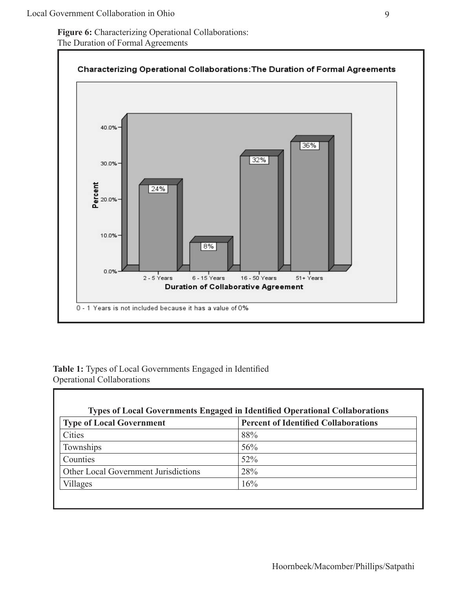**Figure 6:** Characterizing Operational Collaborations: The Duration of Formal Agreements



#### **Table 1:** Types of Local Governments Engaged in Identified Operational Collaborations

г

| <b>Type of Local Government</b>      | <b>Percent of Identified Collaborations</b> |
|--------------------------------------|---------------------------------------------|
| Cities                               | 88%                                         |
| Townships                            | 56%                                         |
| Counties                             | 52%                                         |
| Other Local Government Jurisdictions | 28%                                         |
| Villages                             | 16%                                         |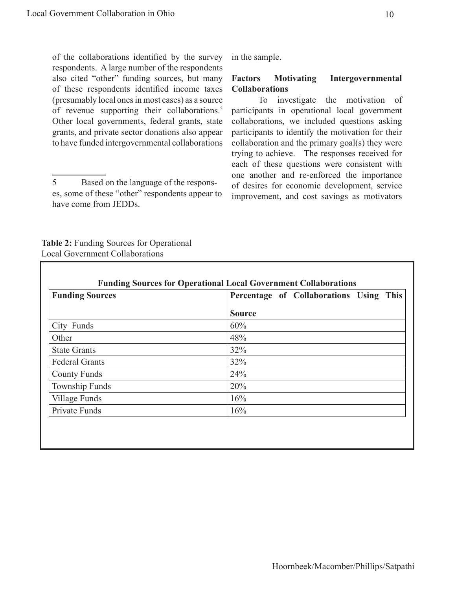of the collaborations identified by the survey respondents. A large number of the respondents also cited "other" funding sources, but many of these respondents identified income taxes (presumably local ones in most cases) as a source of revenue supporting their collaborations.<sup>5</sup> Other local governments, federal grants, state grants, and private sector donations also appear to have funded intergovernmental collaborations

5 Based on the language of the responses, some of these "other" respondents appear to have come from JEDDs.

**Table 2:** Funding Sources for Operational Local Government Collaborations

in the sample.

#### **Factors Motivating Intergovernmental Collaborations**

To investigate the motivation of participants in operational local government collaborations, we included questions asking participants to identify the motivation for their collaboration and the primary goal(s) they were trying to achieve. The responses received for each of these questions were consistent with one another and re-enforced the importance of desires for economic development, service improvement, and cost savings as motivators

| <b>Funding Sources</b> | Percentage of Collaborations Using This |
|------------------------|-----------------------------------------|
|                        | <b>Source</b>                           |
| City Funds             | 60%                                     |
| Other                  | 48%                                     |
| <b>State Grants</b>    | 32%                                     |
| <b>Federal Grants</b>  | 32%                                     |
| <b>County Funds</b>    | 24%                                     |
| Township Funds         | 20%                                     |
| Village Funds          | 16%                                     |
| Private Funds          | 16%                                     |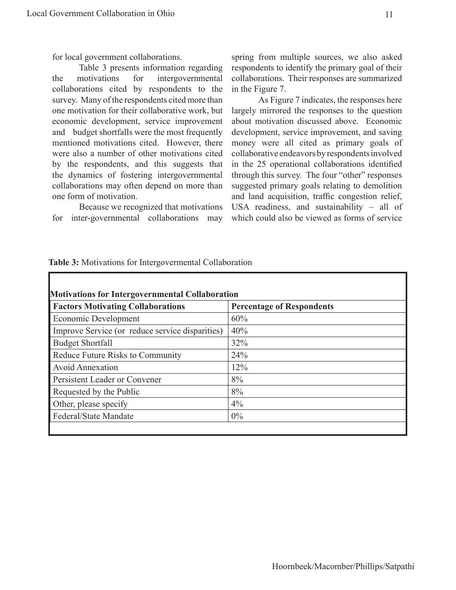Table 3 presents information regarding the motivations for intergovernmental collaborations cited by respondents to the survey. Many of the respondents cited more than one motivation for their collaborative work, but economic development, service improvement and budget shortfalls were the most frequently mentioned motivations cited. However, there were also a number of other motivations cited by the respondents, and this suggests that the dynamics of fostering intergovernmental collaborations may often depend on more than one form of motivation.

Because we recognized that motivations for inter-governmental collaborations may

ı

spring from multiple sources, we also asked respondents to identify the primary goal of their collaborations. Their responses are summarized in the Figure 7.

As Figure 7 indicates, the responses here largely mirrored the responses to the question about motivation discussed above. Economic development, service improvement, and saving money were all cited as primary goals of collaborative endeavors by respondents involved in the 25 operational collaborations identified through this survey. The four "other" responses suggested primary goals relating to demolition and land acquisition, traffic congestion relief, USA readiness, and sustainability – all of which could also be viewed as forms of service

|  |  |  |  |  |  | Table 3: Motivations for Intergovermental Collaboration |  |
|--|--|--|--|--|--|---------------------------------------------------------|--|
|--|--|--|--|--|--|---------------------------------------------------------|--|

| <b>Factors Motivating Collaborations</b>        | <b>Percentage of Respondents</b> |
|-------------------------------------------------|----------------------------------|
| Economic Development                            | 60%                              |
| Improve Service (or reduce service disparities) | 40%                              |
| <b>Budget Shortfall</b>                         | 32%                              |
| Reduce Future Risks to Community                | 24%                              |
| <b>Avoid Annexation</b>                         | 12%                              |
| Persistent Leader or Convener                   | 8%                               |
| Requested by the Public                         | 8%                               |
| Other, please specify                           | $4\%$                            |
| Federal/State Mandate                           | $0\%$                            |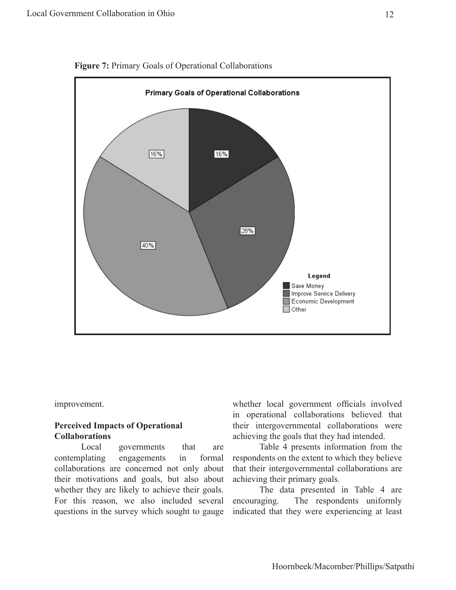

**Figure 7:** Primary Goals of Operational Collaborations

improvement.

#### **Perceived Impacts of Operational Collaborations**

Local governments that are contemplating engagements in formal collaborations are concerned not only about their motivations and goals, but also about whether they are likely to achieve their goals. For this reason, we also included several questions in the survey which sought to gauge whether local government officials involved in operational collaborations believed that their intergovernmental collaborations were achieving the goals that they had intended.

Table 4 presents information from the respondents on the extent to which they believe that their intergovernmental collaborations are achieving their primary goals.

The data presented in Table 4 are encouraging. The respondents uniformly indicated that they were experiencing at least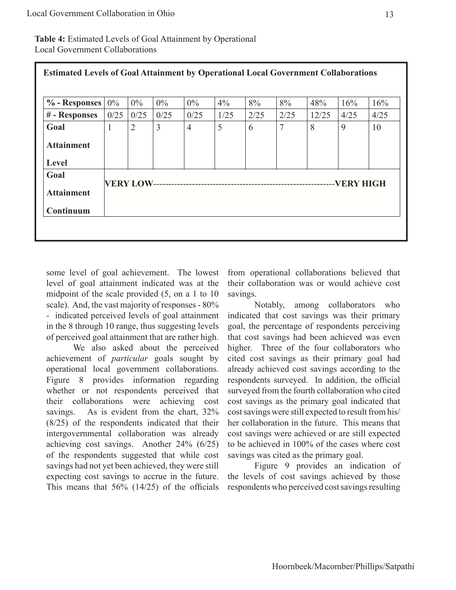**Table 4:** Estimated Levels of Goal Attainment by Operational Local Government Collaborations

| <b>Estimated Levels of Goal Attainment by Operational Local Government Collaborations</b> |       |                |       |                |       |      |      |       |             |      |
|-------------------------------------------------------------------------------------------|-------|----------------|-------|----------------|-------|------|------|-------|-------------|------|
| $\%$ - Responses                                                                          | $0\%$ | $0\%$          | $0\%$ | $0\%$          | $4\%$ | 8%   | 8%   | 48%   | 16%         | 16%  |
| # - Responses                                                                             | 0/25  | 0/25           | 0/25  | 0/25           | 1/25  | 2/25 | 2/25 | 12/25 | 4/25        | 4/25 |
| Goal                                                                                      | 1     | $\overline{2}$ | 3     | $\overline{4}$ | 5     | 6    | 7    | 8     | 9           | 10   |
| <b>Attainment</b>                                                                         |       |                |       |                |       |      |      |       |             |      |
| Level                                                                                     |       |                |       |                |       |      |      |       |             |      |
| Goal                                                                                      |       |                |       |                |       |      |      |       |             |      |
| <b>Attainment</b>                                                                         |       |                |       |                |       |      |      |       | --VERY HIGH |      |
| Continuum                                                                                 |       |                |       |                |       |      |      |       |             |      |

some level of goal achievement. The lowest level of goal attainment indicated was at the midpoint of the scale provided (5, on a 1 to 10 scale). And, the vast majority of responses - 80% - indicated perceived levels of goal attainment in the 8 through 10 range, thus suggesting levels of perceived goal attainment that are rather high.

We also asked about the perceived achievement of *particular* goals sought by operational local government collaborations. Figure 8 provides information regarding whether or not respondents perceived that their collaborations were achieving cost savings. As is evident from the chart,  $32\%$ (8/25) of the respondents indicated that their intergovernmental collaboration was already achieving cost savings. Another 24% (6/25) of the respondents suggested that while cost savings had not yet been achieved, they were still expecting cost savings to accrue in the future. This means that 56% (14/25) of the officials

from operational collaborations believed that their collaboration was or would achieve cost savings.

Notably, among collaborators who indicated that cost savings was their primary goal, the percentage of respondents perceiving that cost savings had been achieved was even higher. Three of the four collaborators who cited cost savings as their primary goal had already achieved cost savings according to the respondents surveyed. In addition, the official surveyed from the fourth collaboration who cited cost savings as the primary goal indicated that cost savings were still expected to result from his/ her collaboration in the future. This means that cost savings were achieved or are still expected to be achieved in 100% of the cases where cost savings was cited as the primary goal.

Figure 9 provides an indication of the levels of cost savings achieved by those respondents who perceived cost savings resulting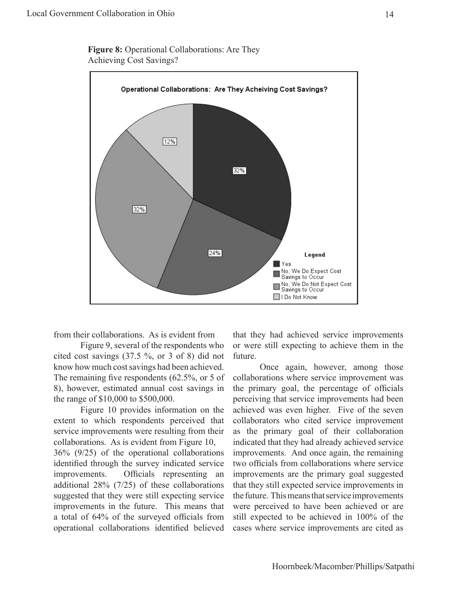

**Figure 8:** Operational Collaborations: Are They Achieving Cost Savings?

from their collaborations. As is evident from

Figure 9, several of the respondents who cited cost savings (37.5 %, or 3 of 8) did not know how much cost savings had been achieved. The remaining five respondents (62.5%, or 5 of 8), however, estimated annual cost savings in the range of \$10,000 to \$500,000.

Figure 10 provides information on the extent to which respondents perceived that service improvements were resulting from their collaborations. As is evident from Figure 10,

36% (9/25) of the operational collaborations identified through the survey indicated service improvements. Officials representing an additional 28% (7/25) of these collaborations suggested that they were still expecting service improvements in the future. This means that a total of 64% of the surveyed officials from operational collaborations identified believed that they had achieved service improvements or were still expecting to achieve them in the future.

Once again, however, among those collaborations where service improvement was the primary goal, the percentage of officials perceiving that service improvements had been achieved was even higher. Five of the seven collaborators who cited service improvement as the primary goal of their collaboration indicated that they had already achieved service improvements. And once again, the remaining two officials from collaborations where service improvements are the primary goal suggested that they still expected service improvements in the future. This means that service improvements were perceived to have been achieved or are still expected to be achieved in 100% of the cases where service improvements are cited as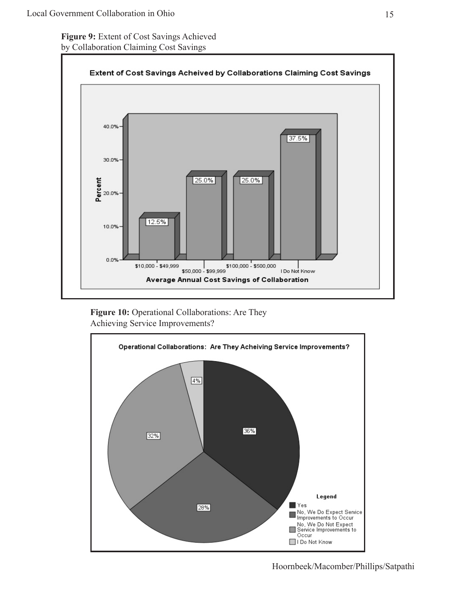**Figure 9:** Extent of Cost Savings Achieved by Collaboration Claiming Cost Savings



Figure 10: Operational Collaborations: Are They Achieving Service Improvements?

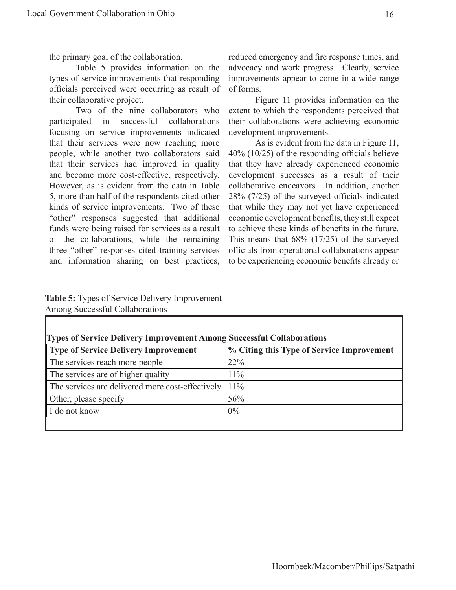the primary goal of the collaboration.

Table 5 provides information on the types of service improvements that responding officials perceived were occurring as result of their collaborative project.

Two of the nine collaborators who participated in successful collaborations focusing on service improvements indicated that their services were now reaching more people, while another two collaborators said that their services had improved in quality and become more cost-effective, respectively. However, as is evident from the data in Table 5, more than half of the respondents cited other kinds of service improvements. Two of these "other" responses suggested that additional funds were being raised for services as a result of the collaborations, while the remaining three "other" responses cited training services and information sharing on best practices,

reduced emergency and fire response times, and advocacy and work progress. Clearly, service improvements appear to come in a wide range of forms.

Figure 11 provides information on the extent to which the respondents perceived that their collaborations were achieving economic development improvements.

As is evident from the data in Figure 11, 40% (10/25) of the responding officials believe that they have already experienced economic development successes as a result of their collaborative endeavors. In addition, another 28% (7/25) of the surveyed officials indicated that while they may not yet have experienced economic development benefits, they still expect to achieve these kinds of benefits in the future. This means that 68% (17/25) of the surveyed officials from operational collaborations appear to be experiencing economic benefits already or

**Table 5:** Types of Service Delivery Improvement Among Successful Collaborations

| <b>Types of Service Delivery Improvement Among Successful Collaborations</b> |                                           |  |  |  |
|------------------------------------------------------------------------------|-------------------------------------------|--|--|--|
| Type of Service Delivery Improvement                                         | % Citing this Type of Service Improvement |  |  |  |
| The services reach more people                                               | 22%                                       |  |  |  |
| The services are of higher quality                                           | $11\%$                                    |  |  |  |
| The services are delivered more cost-effectively                             | 11%                                       |  |  |  |
| Other, please specify                                                        | 56%                                       |  |  |  |
| I do not know                                                                | $0\%$                                     |  |  |  |
|                                                                              |                                           |  |  |  |

**Types of Service Delivery Improvement Among Successful Collaborations**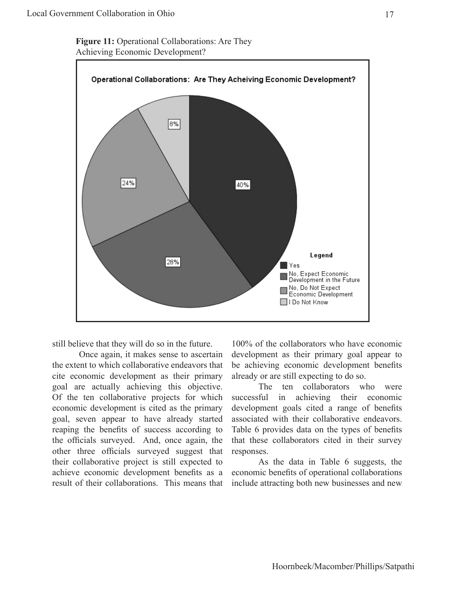**Figure 11:** Operational Collaborations: Are They Achieving Economic Development?

![](_page_24_Figure_2.jpeg)

still believe that they will do so in the future.

Once again, it makes sense to ascertain the extent to which collaborative endeavors that cite economic development as their primary goal are actually achieving this objective. Of the ten collaborative projects for which economic development is cited as the primary goal, seven appear to have already started reaping the benefits of success according to the officials surveyed. And, once again, the other three officials surveyed suggest that their collaborative project is still expected to achieve economic development benefits as a result of their collaborations. This means that

100% of the collaborators who have economic development as their primary goal appear to be achieving economic development benefits already or are still expecting to do so.

The ten collaborators who were successful in achieving their economic development goals cited a range of benefits associated with their collaborative endeavors. Table 6 provides data on the types of benefits that these collaborators cited in their survey responses.

As the data in Table 6 suggests, the economic benefits of operational collaborations include attracting both new businesses and new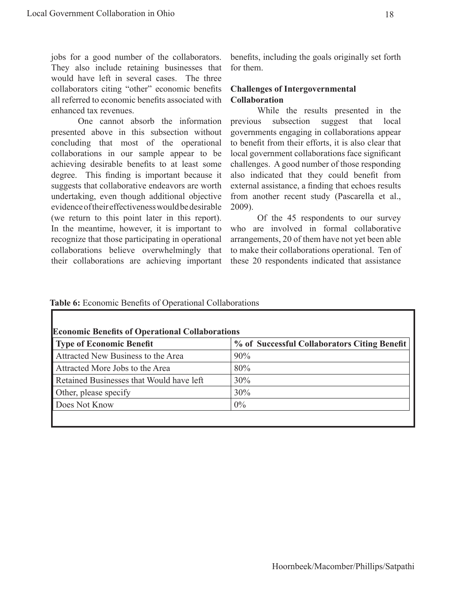jobs for a good number of the collaborators. They also include retaining businesses that would have left in several cases. The three collaborators citing "other" economic benefits all referred to economic benefits associated with enhanced tax revenues.

One cannot absorb the information presented above in this subsection without concluding that most of the operational collaborations in our sample appear to be achieving desirable benefits to at least some degree. This finding is important because it suggests that collaborative endeavors are worth undertaking, even though additional objective evidence of their effectiveness would be desirable (we return to this point later in this report). In the meantime, however, it is important to recognize that those participating in operational collaborations believe overwhelmingly that their collaborations are achieving important

**Table 6:** Economic Benefits of Operational Collaborations

benefits, including the goals originally set forth for them.

#### **Challenges of Intergovernmental Collaboration**

While the results presented in the previous subsection suggest that local governments engaging in collaborations appear to benefit from their efforts, it is also clear that local government collaborations face significant challenges. A good number of those responding also indicated that they could benefit from external assistance, a finding that echoes results from another recent study (Pascarella et al., 2009).

Of the 45 respondents to our survey who are involved in formal collaborative arrangements, 20 of them have not yet been able to make their collaborations operational. Ten of these 20 respondents indicated that assistance

| <b>Economic Benefits of Operational Collaborations</b><br><b>Type of Economic Benefit</b> | % of Successful Collaborators Citing Benefit |
|-------------------------------------------------------------------------------------------|----------------------------------------------|
|                                                                                           |                                              |
| Attracted New Business to the Area                                                        | 90%                                          |
| Attracted More Jobs to the Area                                                           | 80%                                          |
| Retained Businesses that Would have left                                                  | 30%                                          |
| Other, please specify                                                                     | 30%                                          |
| Does Not Know                                                                             | 0%                                           |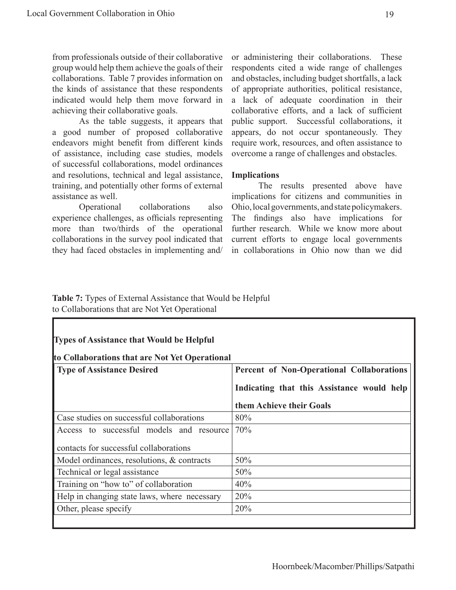from professionals outside of their collaborative group would help them achieve the goals of their collaborations. Table 7 provides information on the kinds of assistance that these respondents indicated would help them move forward in achieving their collaborative goals.

As the table suggests, it appears that a good number of proposed collaborative endeavors might benefit from different kinds of assistance, including case studies, models of successful collaborations, model ordinances and resolutions, technical and legal assistance, training, and potentially other forms of external assistance as well.

Operational collaborations also experience challenges, as officials representing more than two/thirds of the operational collaborations in the survey pool indicated that they had faced obstacles in implementing and/

or administering their collaborations. These respondents cited a wide range of challenges and obstacles, including budget shortfalls, a lack of appropriate authorities, political resistance, a lack of adequate coordination in their collaborative efforts, and a lack of sufficient public support. Successful collaborations, it appears, do not occur spontaneously. They require work, resources, and often assistance to overcome a range of challenges and obstacles.

#### **Implications**

The results presented above have implications for citizens and communities in Ohio, local governments, and state policymakers. The findings also have implications for further research. While we know more about current efforts to engage local governments in collaborations in Ohio now than we did

#### **Table 7:** Types of External Assistance that Would be Helpful to Collaborations that are Not Yet Operational

| <b>Types of Assistance that Would be Helpful</b><br>to Collaborations that are Not Yet Operational |                                            |  |  |  |  |
|----------------------------------------------------------------------------------------------------|--------------------------------------------|--|--|--|--|
| <b>Type of Assistance Desired</b>                                                                  | Percent of Non-Operational Collaborations  |  |  |  |  |
|                                                                                                    | Indicating that this Assistance would help |  |  |  |  |
|                                                                                                    | them Achieve their Goals                   |  |  |  |  |
| Case studies on successful collaborations                                                          | 80%                                        |  |  |  |  |
| Access to successful models and resource                                                           | 70%                                        |  |  |  |  |
| contacts for successful collaborations                                                             |                                            |  |  |  |  |
| Model ordinances, resolutions, & contracts                                                         | 50%                                        |  |  |  |  |
| Technical or legal assistance                                                                      | 50%                                        |  |  |  |  |
| Training on "how to" of collaboration                                                              | 40%                                        |  |  |  |  |
| Help in changing state laws, where necessary                                                       | 20%                                        |  |  |  |  |
| Other, please specify                                                                              | 20%                                        |  |  |  |  |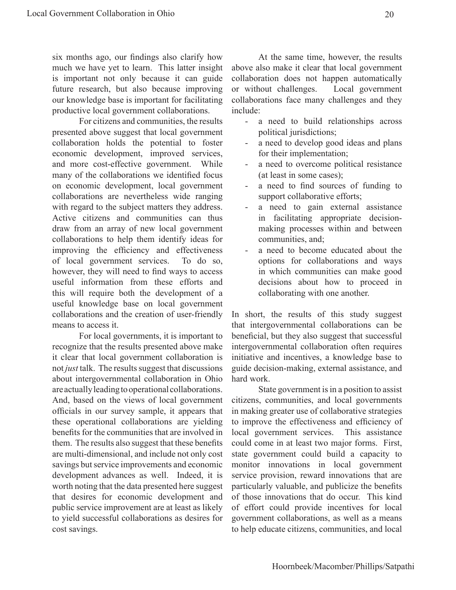six months ago, our findings also clarify how much we have yet to learn. This latter insight is important not only because it can guide future research, but also because improving our knowledge base is important for facilitating productive local government collaborations.

For citizens and communities, the results presented above suggest that local government collaboration holds the potential to foster economic development, improved services, and more cost-effective government. While many of the collaborations we identified focus on economic development, local government collaborations are nevertheless wide ranging with regard to the subject matters they address. Active citizens and communities can thus draw from an array of new local government collaborations to help them identify ideas for improving the efficiency and effectiveness of local government services. To do so, however, they will need to find ways to access useful information from these efforts and this will require both the development of a useful knowledge base on local government collaborations and the creation of user-friendly means to access it.

For local governments, it is important to recognize that the results presented above make it clear that local government collaboration is not *just* talk. The results suggest that discussions about intergovernmental collaboration in Ohio are actually leading to operational collaborations. And, based on the views of local government officials in our survey sample, it appears that these operational collaborations are yielding benefits for the communities that are involved in them. The results also suggest that these benefits are multi-dimensional, and include not only cost savings but service improvements and economic development advances as well. Indeed, it is worth noting that the data presented here suggest that desires for economic development and public service improvement are at least as likely to yield successful collaborations as desires for cost savings.

At the same time, however, the results above also make it clear that local government collaboration does not happen automatically or without challenges. Local government collaborations face many challenges and they include:

- a need to build relationships across political jurisdictions;
- a need to develop good ideas and plans for their implementation;
- a need to overcome political resistance (at least in some cases);
- a need to find sources of funding to support collaborative efforts;
- a need to gain external assistance in facilitating appropriate decisionmaking processes within and between communities, and;
- a need to become educated about the options for collaborations and ways in which communities can make good decisions about how to proceed in collaborating with one another.

In short, the results of this study suggest that intergovernmental collaborations can be beneficial, but they also suggest that successful intergovernmental collaboration often requires initiative and incentives, a knowledge base to guide decision-making, external assistance, and hard work.

State government is in a position to assist citizens, communities, and local governments in making greater use of collaborative strategies to improve the effectiveness and efficiency of local government services. This assistance could come in at least two major forms. First, state government could build a capacity to monitor innovations in local government service provision, reward innovations that are particularly valuable, and publicize the benefits of those innovations that do occur. This kind of effort could provide incentives for local government collaborations, as well as a means to help educate citizens, communities, and local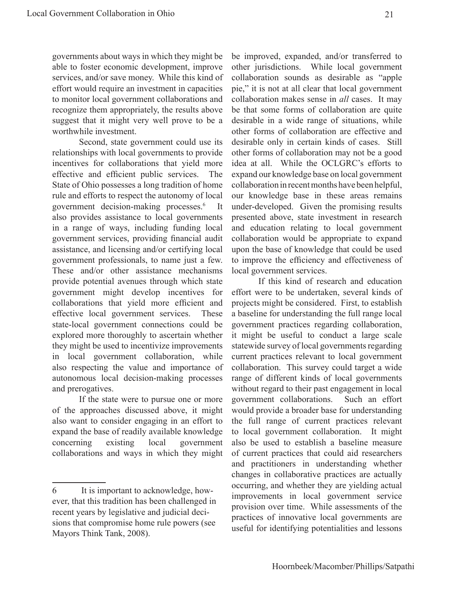governments about ways in which they might be able to foster economic development, improve services, and/or save money. While this kind of effort would require an investment in capacities to monitor local government collaborations and recognize them appropriately, the results above suggest that it might very well prove to be a worthwhile investment.

Second, state government could use its relationships with local governments to provide incentives for collaborations that yield more effective and efficient public services. The State of Ohio possesses a long tradition of home rule and efforts to respect the autonomy of local government decision-making processes.6 It also provides assistance to local governments in a range of ways, including funding local government services, providing financial audit assistance, and licensing and/or certifying local government professionals, to name just a few. These and/or other assistance mechanisms provide potential avenues through which state government might develop incentives for collaborations that yield more efficient and effective local government services. These state-local government connections could be explored more thoroughly to ascertain whether they might be used to incentivize improvements in local government collaboration, while also respecting the value and importance of autonomous local decision-making processes and prerogatives.

If the state were to pursue one or more of the approaches discussed above, it might also want to consider engaging in an effort to expand the base of readily available knowledge concerning existing local government collaborations and ways in which they might

be improved, expanded, and/or transferred to other jurisdictions. While local government collaboration sounds as desirable as "apple pie," it is not at all clear that local government collaboration makes sense in *all* cases. It may be that some forms of collaboration are quite desirable in a wide range of situations, while other forms of collaboration are effective and desirable only in certain kinds of cases. Still other forms of collaboration may not be a good idea at all. While the OCLGRC's efforts to expand our knowledge base on local government collaboration in recent months have been helpful, our knowledge base in these areas remains under-developed. Given the promising results presented above, state investment in research and education relating to local government collaboration would be appropriate to expand upon the base of knowledge that could be used to improve the efficiency and effectiveness of local government services.

If this kind of research and education effort were to be undertaken, several kinds of projects might be considered. First, to establish a baseline for understanding the full range local government practices regarding collaboration, it might be useful to conduct a large scale statewide survey of local governments regarding current practices relevant to local government collaboration. This survey could target a wide range of different kinds of local governments without regard to their past engagement in local government collaborations. Such an effort would provide a broader base for understanding the full range of current practices relevant to local government collaboration. It might also be used to establish a baseline measure of current practices that could aid researchers and practitioners in understanding whether changes in collaborative practices are actually occurring, and whether they are yielding actual improvements in local government service provision over time. While assessments of the practices of innovative local governments are useful for identifying potentialities and lessons

<sup>6</sup> It is important to acknowledge, however, that this tradition has been challenged in recent years by legislative and judicial decisions that compromise home rule powers (see Mayors Think Tank, 2008).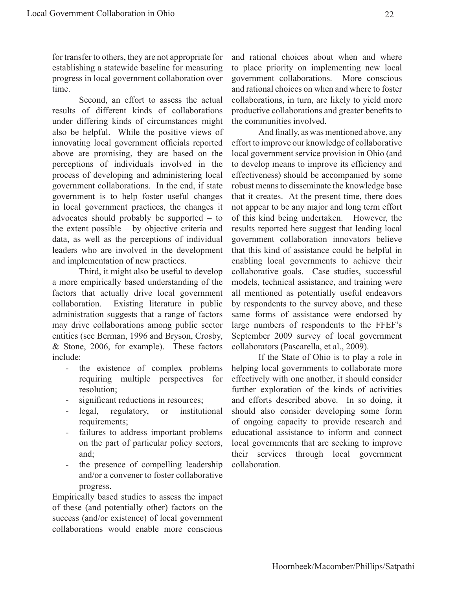for transfer to others, they are not appropriate for establishing a statewide baseline for measuring progress in local government collaboration over time.

Second, an effort to assess the actual results of different kinds of collaborations under differing kinds of circumstances might also be helpful. While the positive views of innovating local government officials reported above are promising, they are based on the perceptions of individuals involved in the process of developing and administering local government collaborations. In the end, if state government is to help foster useful changes in local government practices, the changes it advocates should probably be supported – to the extent possible – by objective criteria and data, as well as the perceptions of individual leaders who are involved in the development and implementation of new practices.

Third, it might also be useful to develop a more empirically based understanding of the factors that actually drive local government collaboration. Existing literature in public administration suggests that a range of factors may drive collaborations among public sector entities (see Berman, 1996 and Bryson, Crosby, & Stone, 2006, for example). These factors include:

- the existence of complex problems requiring multiple perspectives for resolution;
- significant reductions in resources;
- legal, regulatory, or institutional requirements;
- failures to address important problems on the part of particular policy sectors, and;
- the presence of compelling leadership and/or a convener to foster collaborative progress.

Empirically based studies to assess the impact of these (and potentially other) factors on the success (and/or existence) of local government collaborations would enable more conscious

and rational choices about when and where to place priority on implementing new local government collaborations. More conscious and rational choices on when and where to foster collaborations, in turn, are likely to yield more productive collaborations and greater benefits to the communities involved.

And finally, as was mentioned above, any effort to improve our knowledge of collaborative local government service provision in Ohio (and to develop means to improve its efficiency and effectiveness) should be accompanied by some robust means to disseminate the knowledge base that it creates. At the present time, there does not appear to be any major and long term effort of this kind being undertaken. However, the results reported here suggest that leading local government collaboration innovators believe that this kind of assistance could be helpful in enabling local governments to achieve their collaborative goals. Case studies, successful models, technical assistance, and training were all mentioned as potentially useful endeavors by respondents to the survey above, and these same forms of assistance were endorsed by large numbers of respondents to the FFEF's September 2009 survey of local government collaborators (Pascarella, et al., 2009).

If the State of Ohio is to play a role in helping local governments to collaborate more effectively with one another, it should consider further exploration of the kinds of activities and efforts described above. In so doing, it should also consider developing some form of ongoing capacity to provide research and educational assistance to inform and connect local governments that are seeking to improve their services through local government collaboration.

22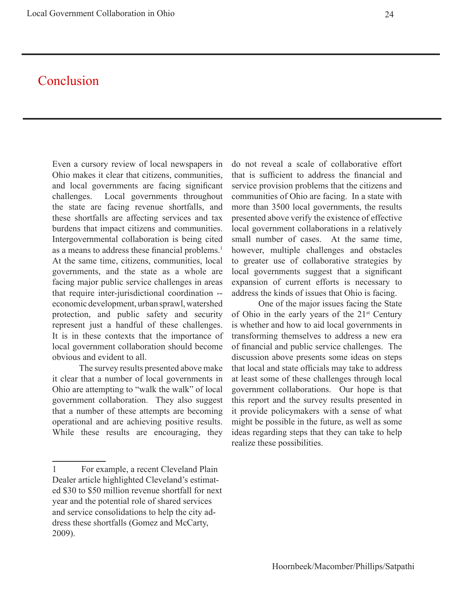# Conclusion

Even a cursory review of local newspapers in Ohio makes it clear that citizens, communities, and local governments are facing significant challenges. Local governments throughout the state are facing revenue shortfalls, and these shortfalls are affecting services and tax burdens that impact citizens and communities. Intergovernmental collaboration is being cited as a means to address these financial problems.<sup>1</sup> At the same time, citizens, communities, local governments, and the state as a whole are facing major public service challenges in areas that require inter-jurisdictional coordination - economic development, urban sprawl, watershed protection, and public safety and security represent just a handful of these challenges. It is in these contexts that the importance of local government collaboration should become obvious and evident to all.

The survey results presented above make it clear that a number of local governments in Ohio are attempting to "walk the walk" of local government collaboration. They also suggest that a number of these attempts are becoming operational and are achieving positive results. While these results are encouraging, they do not reveal a scale of collaborative effort that is sufficient to address the financial and service provision problems that the citizens and communities of Ohio are facing. In a state with more than 3500 local governments, the results presented above verify the existence of effective local government collaborations in a relatively small number of cases. At the same time, however, multiple challenges and obstacles to greater use of collaborative strategies by local governments suggest that a significant expansion of current efforts is necessary to address the kinds of issues that Ohio is facing.

One of the major issues facing the State of Ohio in the early years of the  $21<sup>st</sup>$  Century is whether and how to aid local governments in transforming themselves to address a new era of financial and public service challenges. The discussion above presents some ideas on steps that local and state officials may take to address at least some of these challenges through local government collaborations. Our hope is that this report and the survey results presented in it provide policymakers with a sense of what might be possible in the future, as well as some ideas regarding steps that they can take to help realize these possibilities.

<sup>1</sup> For example, a recent Cleveland Plain Dealer article highlighted Cleveland's estimated \$30 to \$50 million revenue shortfall for next year and the potential role of shared services and service consolidations to help the city address these shortfalls (Gomez and McCarty, 2009).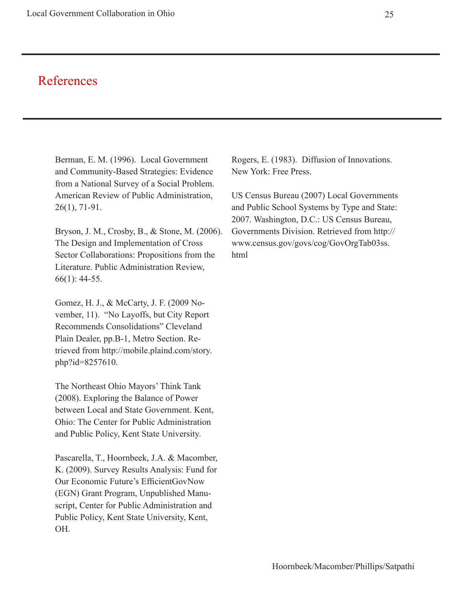# References

Berman, E. M. (1996). Local Government and Community-Based Strategies: Evidence from a National Survey of a Social Problem. American Review of Public Administration, 26(1), 71-91.

Bryson, J. M., Crosby, B., & Stone, M. (2006). The Design and Implementation of Cross Sector Collaborations: Propositions from the Literature. Public Administration Review, 66(1): 44-55.

Gomez, H. J., & McCarty, J. F. (2009 November, 11). "No Layoffs, but City Report Recommends Consolidations" Cleveland Plain Dealer, pp.B-1, Metro Section. Retrieved from http://mobile.plaind.com/story. php?id=8257610.

The Northeast Ohio Mayors' Think Tank (2008). Exploring the Balance of Power between Local and State Government. Kent, Ohio: The Center for Public Administration and Public Policy, Kent State University.

Pascarella, T., Hoornbeek, J.A. & Macomber, K. (2009). Survey Results Analysis: Fund for Our Economic Future's EfficientGovNow (EGN) Grant Program, Unpublished Manuscript, Center for Public Administration and Public Policy, Kent State University, Kent, OH.

Rogers, E. (1983). Diffusion of Innovations. New York: Free Press.

US Census Bureau (2007) Local Governments and Public School Systems by Type and State: 2007. Washington, D.C.: US Census Bureau, Governments Division. Retrieved from http:// www.census.gov/govs/cog/GovOrgTab03ss. html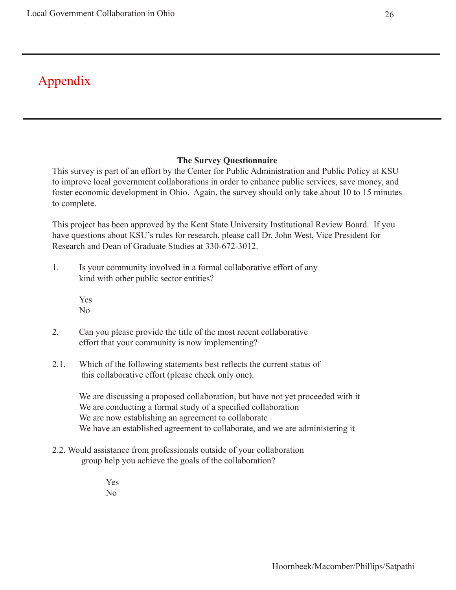# Appendix

#### **The Survey Questionnaire**

This survey is part of an effort by the Center for Public Administration and Public Policy at KSU to improve local government collaborations in order to enhance public services, save money, and foster economic development in Ohio. Again, the survey should only take about 10 to 15 minutes to complete.

This project has been approved by the Kent State University Institutional Review Board. If you have questions about KSU's rules for research, please call Dr. John West, Vice President for Research and Dean of Graduate Studies at 330-672-3012.

1. Is your community involved in a formal collaborative effort of any kind with other public sector entities?

> Yes No

- 2. Can you please provide the title of the most recent collaborative effort that your community is now implementing?
- 2.1. Which of the following statements best reflects the current status of this collaborative effort (please check only one).

We are discussing a proposed collaboration, but have not yet proceeded with it We are conducting a formal study of a specified collaboration We are now establishing an agreement to collaborate We have an established agreement to collaborate, and we are administering it

2.2. Would assistance from professionals outside of your collaboration group help you achieve the goals of the collaboration?

> Yes No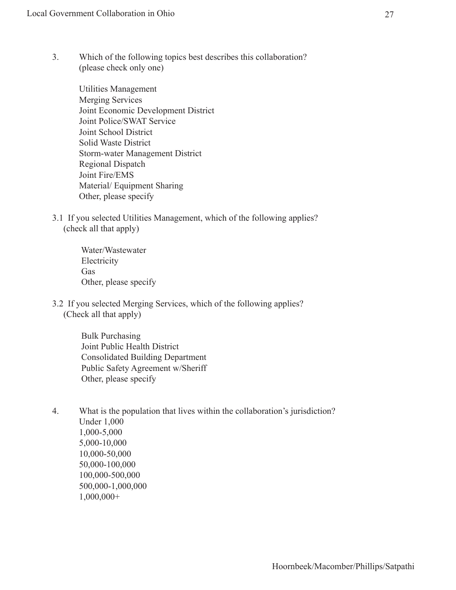3. Which of the following topics best describes this collaboration? (please check only one)

> Utilities Management Merging Services Joint Economic Development District Joint Police/SWAT Service Joint School District Solid Waste District Storm-water Management District Regional Dispatch Joint Fire/EMS Material/ Equipment Sharing Other, please specify

3.1 If you selected Utilities Management, which of the following applies? (check all that apply)

> Water/Wastewater Electricity Gas Other, please specify

3.2 If you selected Merging Services, which of the following applies? (Check all that apply)

> Bulk Purchasing Joint Public Health District Consolidated Building Department Public Safety Agreement w/Sheriff Other, please specify

4. What is the population that lives within the collaboration's jurisdiction? Under 1,000 1,000-5,000 5,000-10,000 10,000-50,000 50,000-100,000 100,000-500,000 500,000-1,000,000 1,000,000+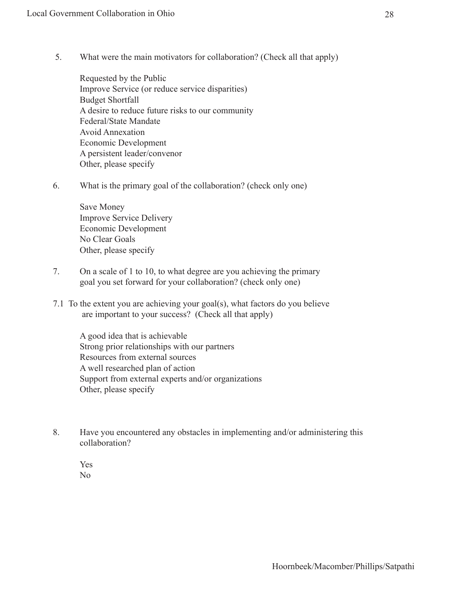5. What were the main motivators for collaboration? (Check all that apply)

Requested by the Public Improve Service (or reduce service disparities) Budget Shortfall A desire to reduce future risks to our community Federal/State Mandate Avoid Annexation Economic Development A persistent leader/convenor Other, please specify

6. What is the primary goal of the collaboration? (check only one)

Save Money Improve Service Delivery Economic Development No Clear Goals Other, please specify

- 7. On a scale of 1 to 10, to what degree are you achieving the primary goal you set forward for your collaboration? (check only one)
- 7.1 To the extent you are achieving your goal(s), what factors do you believe are important to your success? (Check all that apply)

A good idea that is achievable Strong prior relationships with our partners Resources from external sources A well researched plan of action Support from external experts and/or organizations Other, please specify

8. Have you encountered any obstacles in implementing and/or administering this collaboration?

Yes No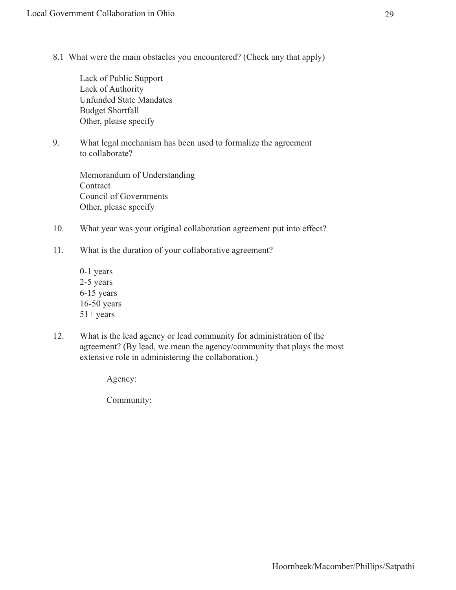8.1 What were the main obstacles you encountered? (Check any that apply)

Lack of Public Support Lack of Authority Unfunded State Mandates Budget Shortfall Other, please specify

9. What legal mechanism has been used to formalize the agreement to collaborate?

> Memorandum of Understanding **Contract** Council of Governments Other, please specify

- 10. What year was your original collaboration agreement put into effect?
- 11. What is the duration of your collaborative agreement?
	- 0-1 years 2-5 years 6-15 years 16-50 years 51+ years
- 12. What is the lead agency or lead community for administration of the agreement? (By lead, we mean the agency/community that plays the most extensive role in administering the collaboration.)

Agency:

Community: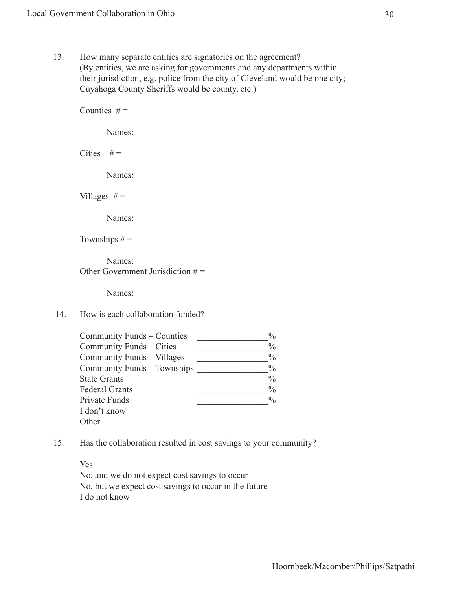13. How many separate entities are signatories on the agreement? (By entities, we are asking for governments and any departments within their jurisdiction, e.g. police from the city of Cleveland would be one city; Cuyahoga County Sheriffs would be county, etc.)

Counties  $# =$  Names: Cities  $# =$  Names: Villages  $# =$  Names: Townships  $# =$  Names: Other Government Jurisdiction  $# =$  Names: 14. How is each collaboration funded? Community Funds – Counties  $\frac{\%}{\%}$ Community Funds – Cities Community Funds – Villages  $\%$ Community Funds – Townships \_\_\_\_\_\_\_\_\_\_\_\_\_\_\_\_% State Grants  $\frac{9}{6}$ Federal Grants  $\frac{9}{6}$ Private Funds  $\frac{9}{6}$ I don't know **Other** 

15. Has the collaboration resulted in cost savings to your community?

Yes No, and we do not expect cost savings to occur No, but we expect cost savings to occur in the future I do not know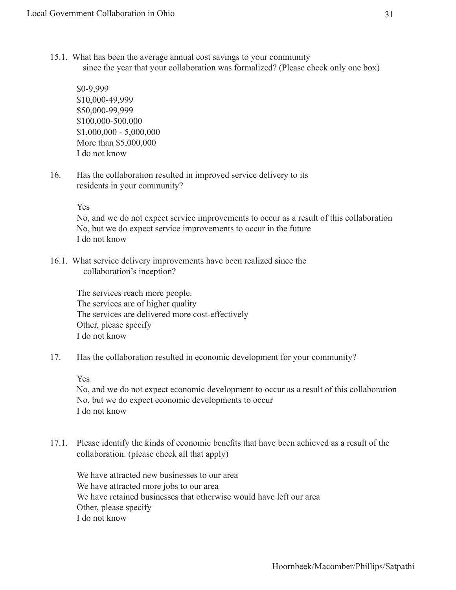15.1. What has been the average annual cost savings to your community since the year that your collaboration was formalized? (Please check only one box)

\$0-9,999 \$10,000-49,999 \$50,000-99,999 \$100,000-500,000 \$1,000,000 - 5,000,000 More than \$5,000,000 I do not know

16. Has the collaboration resulted in improved service delivery to its residents in your community?

Yes

No, and we do not expect service improvements to occur as a result of this collaboration No, but we do expect service improvements to occur in the future I do not know

16.1. What service delivery improvements have been realized since the collaboration's inception?

The services reach more people. The services are of higher quality The services are delivered more cost-effectively Other, please specify I do not know

17. Has the collaboration resulted in economic development for your community?

Yes

No, and we do not expect economic development to occur as a result of this collaboration No, but we do expect economic developments to occur I do not know

17.1. Please identify the kinds of economic benefits that have been achieved as a result of the collaboration. (please check all that apply)

We have attracted new businesses to our area We have attracted more jobs to our area We have retained businesses that otherwise would have left our area Other, please specify I do not know